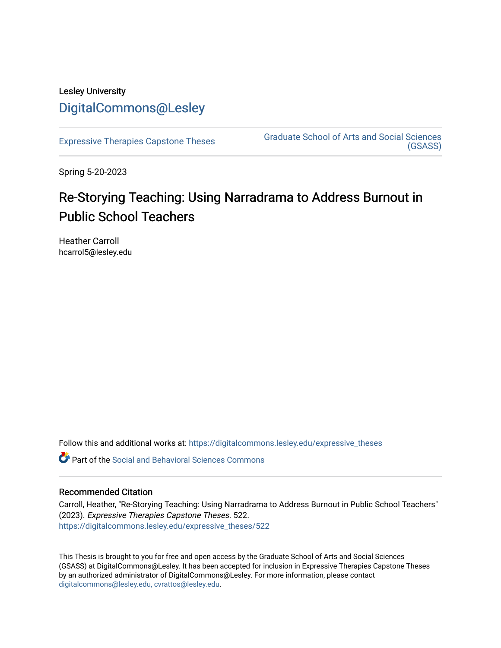## Lesley University [DigitalCommons@Lesley](https://digitalcommons.lesley.edu/)

[Expressive Therapies Capstone Theses](https://digitalcommons.lesley.edu/expressive_theses) Graduate School of Arts and Social Sciences [\(GSASS\)](https://digitalcommons.lesley.edu/gsass) 

Spring 5-20-2023

# Re-Storying Teaching: Using Narradrama to Address Burnout in Public School Teachers

Heather Carroll hcarrol5@lesley.edu

Follow this and additional works at: [https://digitalcommons.lesley.edu/expressive\\_theses](https://digitalcommons.lesley.edu/expressive_theses?utm_source=digitalcommons.lesley.edu%2Fexpressive_theses%2F522&utm_medium=PDF&utm_campaign=PDFCoverPages)

Part of the [Social and Behavioral Sciences Commons](http://network.bepress.com/hgg/discipline/316?utm_source=digitalcommons.lesley.edu%2Fexpressive_theses%2F522&utm_medium=PDF&utm_campaign=PDFCoverPages) 

### Recommended Citation

Carroll, Heather, "Re-Storying Teaching: Using Narradrama to Address Burnout in Public School Teachers" (2023). Expressive Therapies Capstone Theses. 522. [https://digitalcommons.lesley.edu/expressive\\_theses/522](https://digitalcommons.lesley.edu/expressive_theses/522?utm_source=digitalcommons.lesley.edu%2Fexpressive_theses%2F522&utm_medium=PDF&utm_campaign=PDFCoverPages)

This Thesis is brought to you for free and open access by the Graduate School of Arts and Social Sciences (GSASS) at DigitalCommons@Lesley. It has been accepted for inclusion in Expressive Therapies Capstone Theses by an authorized administrator of DigitalCommons@Lesley. For more information, please contact [digitalcommons@lesley.edu, cvrattos@lesley.edu](mailto:digitalcommons@lesley.edu,%20cvrattos@lesley.edu).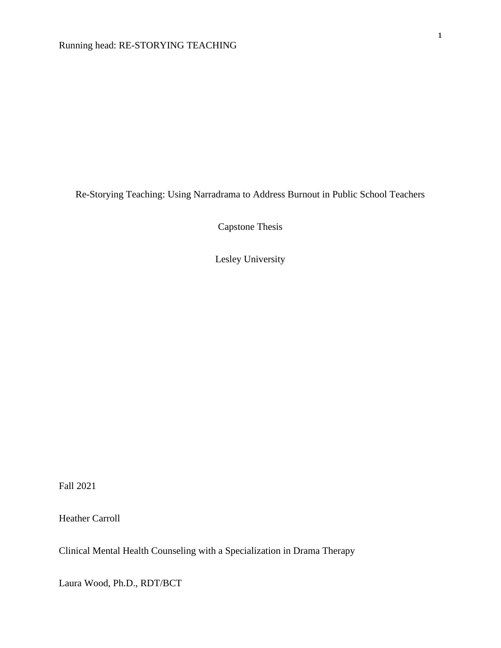Re-Storying Teaching: Using Narradrama to Address Burnout in Public School Teachers

Capstone Thesis

Lesley University

Fall 2021

Heather Carroll

Clinical Mental Health Counseling with a Specialization in Drama Therapy

Laura Wood, Ph.D., RDT/BCT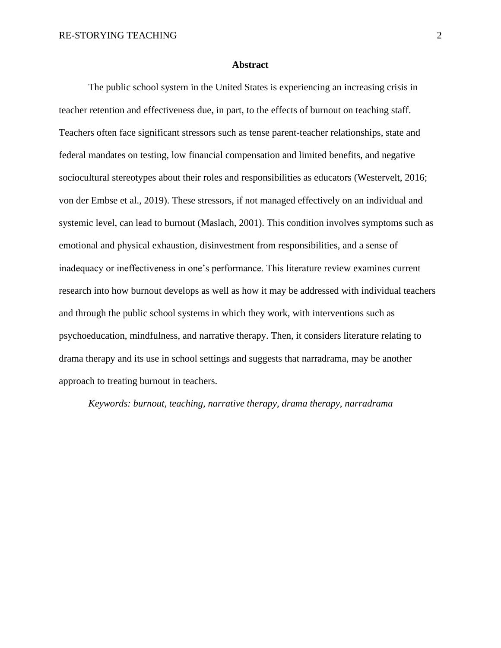#### **Abstract**

The public school system in the United States is experiencing an increasing crisis in teacher retention and effectiveness due, in part, to the effects of burnout on teaching staff. Teachers often face significant stressors such as tense parent-teacher relationships, state and federal mandates on testing, low financial compensation and limited benefits, and negative sociocultural stereotypes about their roles and responsibilities as educators (Westervelt, 2016; von der Embse et al., 2019). These stressors, if not managed effectively on an individual and systemic level, can lead to burnout (Maslach, 2001). This condition involves symptoms such as emotional and physical exhaustion, disinvestment from responsibilities, and a sense of inadequacy or ineffectiveness in one's performance. This literature review examines current research into how burnout develops as well as how it may be addressed with individual teachers and through the public school systems in which they work, with interventions such as psychoeducation, mindfulness, and narrative therapy. Then, it considers literature relating to drama therapy and its use in school settings and suggests that narradrama, may be another approach to treating burnout in teachers.

*Keywords: burnout, teaching, narrative therapy, drama therapy, narradrama*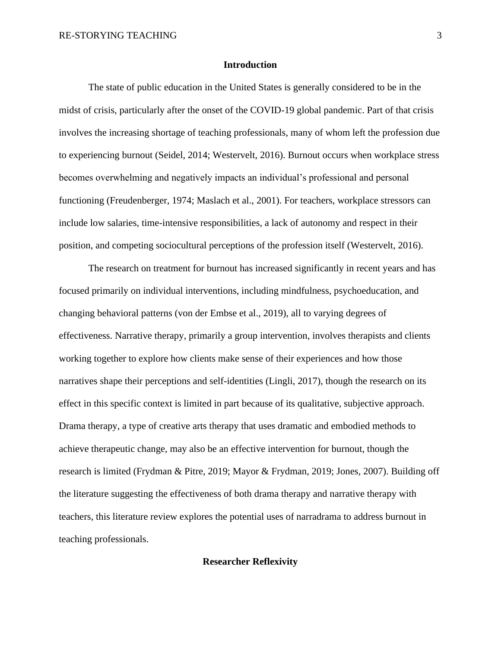#### **Introduction**

The state of public education in the United States is generally considered to be in the midst of crisis, particularly after the onset of the COVID-19 global pandemic. Part of that crisis involves the increasing shortage of teaching professionals, many of whom left the profession due to experiencing burnout (Seidel, 2014; Westervelt, 2016). Burnout occurs when workplace stress becomes overwhelming and negatively impacts an individual's professional and personal functioning (Freudenberger, 1974; Maslach et al., 2001). For teachers, workplace stressors can include low salaries, time-intensive responsibilities, a lack of autonomy and respect in their position, and competing sociocultural perceptions of the profession itself (Westervelt, 2016).

The research on treatment for burnout has increased significantly in recent years and has focused primarily on individual interventions, including mindfulness, psychoeducation, and changing behavioral patterns (von der Embse et al., 2019), all to varying degrees of effectiveness. Narrative therapy, primarily a group intervention, involves therapists and clients working together to explore how clients make sense of their experiences and how those narratives shape their perceptions and self-identities (Lingli, 2017), though the research on its effect in this specific context is limited in part because of its qualitative, subjective approach. Drama therapy, a type of creative arts therapy that uses dramatic and embodied methods to achieve therapeutic change, may also be an effective intervention for burnout, though the research is limited (Frydman & Pitre, 2019; Mayor & Frydman, 2019; Jones, 2007). Building off the literature suggesting the effectiveness of both drama therapy and narrative therapy with teachers, this literature review explores the potential uses of narradrama to address burnout in teaching professionals.

#### **Researcher Reflexivity**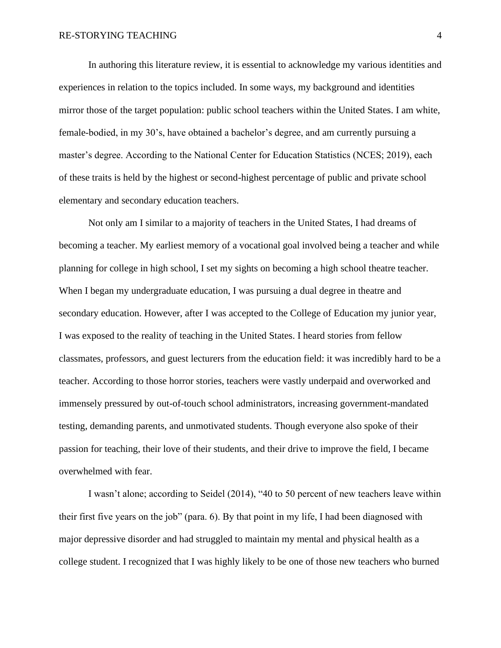In authoring this literature review, it is essential to acknowledge my various identities and experiences in relation to the topics included. In some ways, my background and identities mirror those of the target population: public school teachers within the United States. I am white, female-bodied, in my 30's, have obtained a bachelor's degree, and am currently pursuing a master's degree. According to the National Center for Education Statistics (NCES; 2019), each of these traits is held by the highest or second-highest percentage of public and private school elementary and secondary education teachers.

Not only am I similar to a majority of teachers in the United States, I had dreams of becoming a teacher. My earliest memory of a vocational goal involved being a teacher and while planning for college in high school, I set my sights on becoming a high school theatre teacher. When I began my undergraduate education, I was pursuing a dual degree in theatre and secondary education. However, after I was accepted to the College of Education my junior year, I was exposed to the reality of teaching in the United States. I heard stories from fellow classmates, professors, and guest lecturers from the education field: it was incredibly hard to be a teacher. According to those horror stories, teachers were vastly underpaid and overworked and immensely pressured by out-of-touch school administrators, increasing government-mandated testing, demanding parents, and unmotivated students. Though everyone also spoke of their passion for teaching, their love of their students, and their drive to improve the field, I became overwhelmed with fear.

I wasn't alone; according to Seidel (2014), "40 to 50 percent of new teachers leave within their first five years on the job" (para. 6). By that point in my life, I had been diagnosed with major depressive disorder and had struggled to maintain my mental and physical health as a college student. I recognized that I was highly likely to be one of those new teachers who burned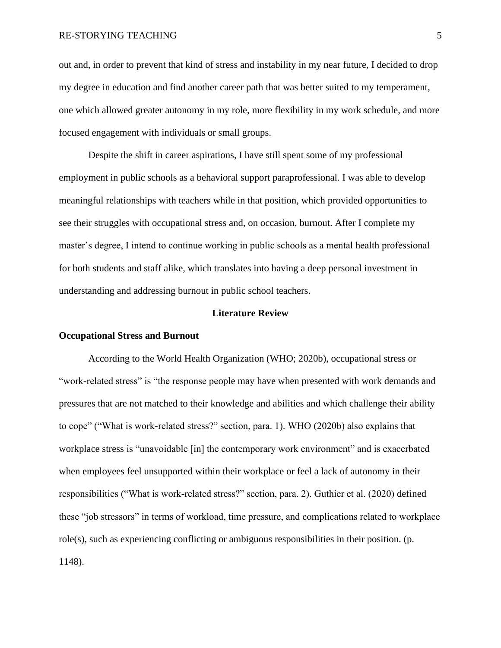#### RE-STORYING TEACHING 5

out and, in order to prevent that kind of stress and instability in my near future, I decided to drop my degree in education and find another career path that was better suited to my temperament, one which allowed greater autonomy in my role, more flexibility in my work schedule, and more focused engagement with individuals or small groups.

Despite the shift in career aspirations, I have still spent some of my professional employment in public schools as a behavioral support paraprofessional. I was able to develop meaningful relationships with teachers while in that position, which provided opportunities to see their struggles with occupational stress and, on occasion, burnout. After I complete my master's degree, I intend to continue working in public schools as a mental health professional for both students and staff alike, which translates into having a deep personal investment in understanding and addressing burnout in public school teachers.

#### **Literature Review**

#### **Occupational Stress and Burnout**

According to the World Health Organization (WHO; 2020b), occupational stress or "work-related stress" is "the response people may have when presented with work demands and pressures that are not matched to their knowledge and abilities and which challenge their ability to cope" ("What is work-related stress?" section, para. 1). WHO (2020b) also explains that workplace stress is "unavoidable [in] the contemporary work environment" and is exacerbated when employees feel unsupported within their workplace or feel a lack of autonomy in their responsibilities ("What is work-related stress?" section, para. 2). Guthier et al. (2020) defined these "job stressors" in terms of workload, time pressure, and complications related to workplace role(s), such as experiencing conflicting or ambiguous responsibilities in their position. (p. 1148).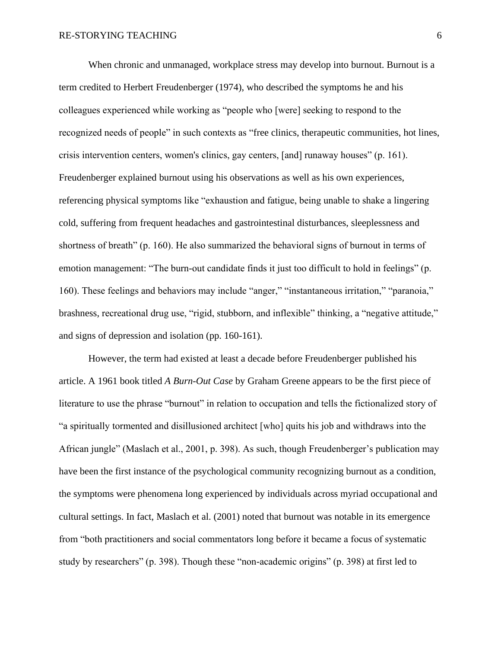When chronic and unmanaged, workplace stress may develop into burnout. Burnout is a term credited to Herbert Freudenberger (1974), who described the symptoms he and his colleagues experienced while working as "people who [were] seeking to respond to the recognized needs of people" in such contexts as "free clinics, therapeutic communities, hot lines, crisis intervention centers, women's clinics, gay centers, [and] runaway houses" (p. 161). Freudenberger explained burnout using his observations as well as his own experiences, referencing physical symptoms like "exhaustion and fatigue, being unable to shake a lingering cold, suffering from frequent headaches and gastrointestinal disturbances, sleeplessness and shortness of breath" (p. 160). He also summarized the behavioral signs of burnout in terms of emotion management: "The burn-out candidate finds it just too difficult to hold in feelings" (p. 160). These feelings and behaviors may include "anger," "instantaneous irritation," "paranoia," brashness, recreational drug use, "rigid, stubborn, and inflexible" thinking, a "negative attitude," and signs of depression and isolation (pp. 160-161).

However, the term had existed at least a decade before Freudenberger published his article. A 1961 book titled *A Burn-Out Case* by Graham Greene appears to be the first piece of literature to use the phrase "burnout" in relation to occupation and tells the fictionalized story of "a spiritually tormented and disillusioned architect [who] quits his job and withdraws into the African jungle" (Maslach et al., 2001, p. 398). As such, though Freudenberger's publication may have been the first instance of the psychological community recognizing burnout as a condition, the symptoms were phenomena long experienced by individuals across myriad occupational and cultural settings. In fact, Maslach et al. (2001) noted that burnout was notable in its emergence from "both practitioners and social commentators long before it became a focus of systematic study by researchers" (p. 398). Though these "non-academic origins" (p. 398) at first led to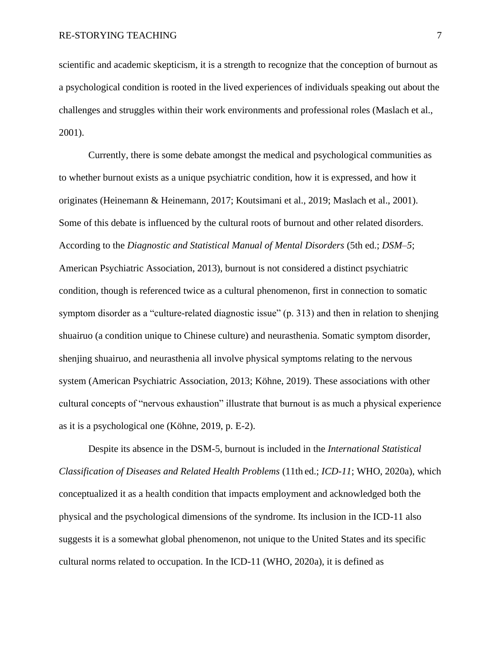scientific and academic skepticism, it is a strength to recognize that the conception of burnout as a psychological condition is rooted in the lived experiences of individuals speaking out about the challenges and struggles within their work environments and professional roles (Maslach et al., 2001).

Currently, there is some debate amongst the medical and psychological communities as to whether burnout exists as a unique psychiatric condition, how it is expressed, and how it originates (Heinemann & Heinemann, 2017; Koutsimani et al., 2019; Maslach et al., 2001). Some of this debate is influenced by the cultural roots of burnout and other related disorders. According to the *Diagnostic and Statistical Manual of Mental Disorders* (5th ed.; *DSM–5*; American Psychiatric Association, 2013), burnout is not considered a distinct psychiatric condition, though is referenced twice as a cultural phenomenon, first in connection to somatic symptom disorder as a "culture-related diagnostic issue" (p. 313) and then in relation to shenjing shuairuo (a condition unique to Chinese culture) and neurasthenia. Somatic symptom disorder, shenjing shuairuo, and neurasthenia all involve physical symptoms relating to the nervous system (American Psychiatric Association, 2013; Köhne, 2019). These associations with other cultural concepts of "nervous exhaustion" illustrate that burnout is as much a physical experience as it is a psychological one (Köhne, 2019, p. E-2).

Despite its absence in the DSM-5, burnout is included in the *International Statistical Classification of Diseases and Related Health Problems* (11th ed.; *ICD-11*; WHO, 2020a), which conceptualized it as a health condition that impacts employment and acknowledged both the physical and the psychological dimensions of the syndrome. Its inclusion in the ICD-11 also suggests it is a somewhat global phenomenon, not unique to the United States and its specific cultural norms related to occupation. In the ICD-11 (WHO, 2020a), it is defined as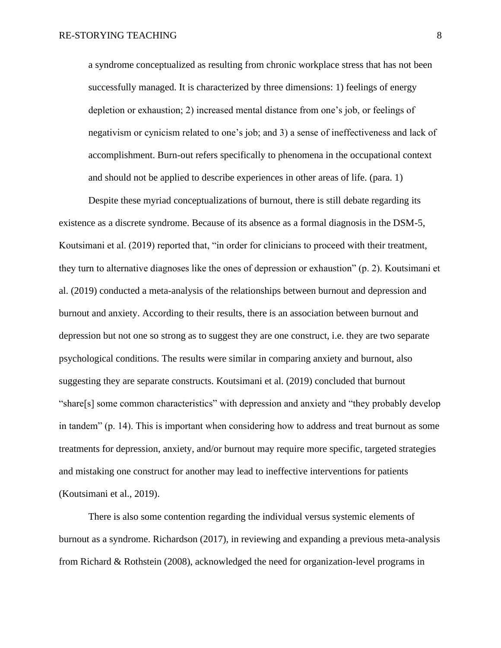a syndrome conceptualized as resulting from chronic workplace stress that has not been successfully managed. It is characterized by three dimensions: 1) feelings of energy depletion or exhaustion; 2) increased mental distance from one's job, or feelings of negativism or cynicism related to one's job; and 3) a sense of ineffectiveness and lack of accomplishment. Burn-out refers specifically to phenomena in the occupational context and should not be applied to describe experiences in other areas of life. (para. 1)

Despite these myriad conceptualizations of burnout, there is still debate regarding its existence as a discrete syndrome. Because of its absence as a formal diagnosis in the DSM-5, Koutsimani et al. (2019) reported that, "in order for clinicians to proceed with their treatment, they turn to alternative diagnoses like the ones of depression or exhaustion" (p. 2). Koutsimani et al. (2019) conducted a meta-analysis of the relationships between burnout and depression and burnout and anxiety. According to their results, there is an association between burnout and depression but not one so strong as to suggest they are one construct, i.e. they are two separate psychological conditions. The results were similar in comparing anxiety and burnout, also suggesting they are separate constructs. Koutsimani et al. (2019) concluded that burnout "share[s] some common characteristics" with depression and anxiety and "they probably develop in tandem" (p. 14). This is important when considering how to address and treat burnout as some treatments for depression, anxiety, and/or burnout may require more specific, targeted strategies and mistaking one construct for another may lead to ineffective interventions for patients (Koutsimani et al., 2019).

There is also some contention regarding the individual versus systemic elements of burnout as a syndrome. Richardson (2017), in reviewing and expanding a previous meta-analysis from Richard & Rothstein (2008), acknowledged the need for organization-level programs in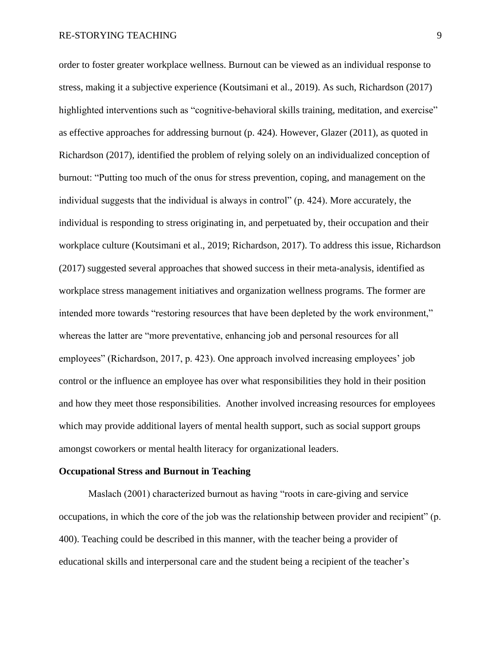order to foster greater workplace wellness. Burnout can be viewed as an individual response to stress, making it a subjective experience (Koutsimani et al., 2019). As such, Richardson (2017) highlighted interventions such as "cognitive-behavioral skills training, meditation, and exercise" as effective approaches for addressing burnout (p. 424). However, Glazer (2011), as quoted in Richardson (2017), identified the problem of relying solely on an individualized conception of burnout: "Putting too much of the onus for stress prevention, coping, and management on the individual suggests that the individual is always in control" (p. 424). More accurately, the individual is responding to stress originating in, and perpetuated by, their occupation and their workplace culture (Koutsimani et al., 2019; Richardson, 2017). To address this issue, Richardson (2017) suggested several approaches that showed success in their meta-analysis, identified as workplace stress management initiatives and organization wellness programs. The former are intended more towards "restoring resources that have been depleted by the work environment," whereas the latter are "more preventative, enhancing job and personal resources for all employees" (Richardson, 2017, p. 423). One approach involved increasing employees' job control or the influence an employee has over what responsibilities they hold in their position and how they meet those responsibilities. Another involved increasing resources for employees which may provide additional layers of mental health support, such as social support groups amongst coworkers or mental health literacy for organizational leaders.

#### **Occupational Stress and Burnout in Teaching**

Maslach (2001) characterized burnout as having "roots in care-giving and service occupations, in which the core of the job was the relationship between provider and recipient" (p. 400). Teaching could be described in this manner, with the teacher being a provider of educational skills and interpersonal care and the student being a recipient of the teacher's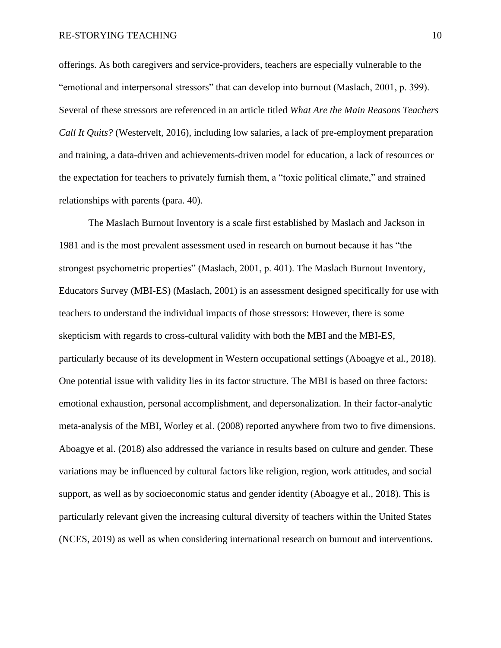#### RE-STORYING TEACHING 10

offerings. As both caregivers and service-providers, teachers are especially vulnerable to the "emotional and interpersonal stressors" that can develop into burnout (Maslach, 2001, p. 399). Several of these stressors are referenced in an article titled *What Are the Main Reasons Teachers Call It Quits?* (Westervelt, 2016), including low salaries, a lack of pre-employment preparation and training, a data-driven and achievements-driven model for education, a lack of resources or the expectation for teachers to privately furnish them, a "toxic political climate," and strained relationships with parents (para. 40).

The Maslach Burnout Inventory is a scale first established by Maslach and Jackson in 1981 and is the most prevalent assessment used in research on burnout because it has "the strongest psychometric properties" (Maslach, 2001, p. 401). The Maslach Burnout Inventory, Educators Survey (MBI-ES) (Maslach, 2001) is an assessment designed specifically for use with teachers to understand the individual impacts of those stressors: However, there is some skepticism with regards to cross-cultural validity with both the MBI and the MBI-ES, particularly because of its development in Western occupational settings (Aboagye et al., 2018). One potential issue with validity lies in its factor structure. The MBI is based on three factors: emotional exhaustion, personal accomplishment, and depersonalization. In their factor-analytic meta-analysis of the MBI, Worley et al. (2008) reported anywhere from two to five dimensions. Aboagye et al. (2018) also addressed the variance in results based on culture and gender. These variations may be influenced by cultural factors like religion, region, work attitudes, and social support, as well as by socioeconomic status and gender identity (Aboagye et al., 2018). This is particularly relevant given the increasing cultural diversity of teachers within the United States (NCES, 2019) as well as when considering international research on burnout and interventions.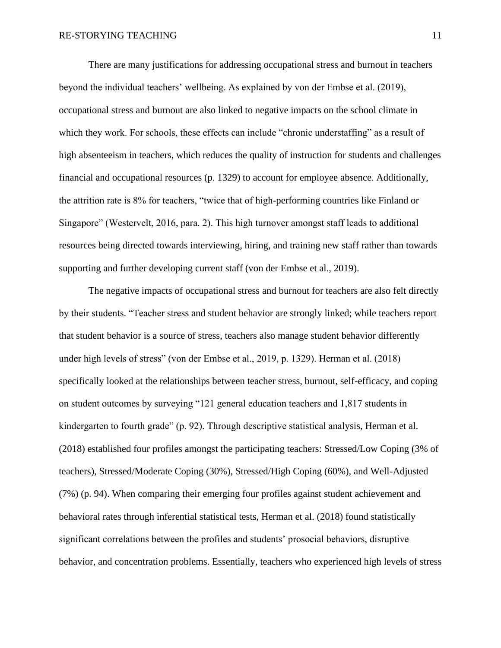There are many justifications for addressing occupational stress and burnout in teachers beyond the individual teachers' wellbeing. As explained by von der Embse et al. (2019), occupational stress and burnout are also linked to negative impacts on the school climate in which they work. For schools, these effects can include "chronic understaffing" as a result of high absenteeism in teachers, which reduces the quality of instruction for students and challenges financial and occupational resources (p. 1329) to account for employee absence. Additionally, the attrition rate is 8% for teachers, "twice that of high-performing countries like Finland or Singapore" (Westervelt, 2016, para. 2). This high turnover amongst staff leads to additional resources being directed towards interviewing, hiring, and training new staff rather than towards supporting and further developing current staff (von der Embse et al., 2019).

The negative impacts of occupational stress and burnout for teachers are also felt directly by their students. "Teacher stress and student behavior are strongly linked; while teachers report that student behavior is a source of stress, teachers also manage student behavior differently under high levels of stress" (von der Embse et al., 2019, p. 1329). Herman et al. (2018) specifically looked at the relationships between teacher stress, burnout, self-efficacy, and coping on student outcomes by surveying "121 general education teachers and 1,817 students in kindergarten to fourth grade" (p. 92). Through descriptive statistical analysis, Herman et al. (2018) established four profiles amongst the participating teachers: Stressed/Low Coping (3% of teachers), Stressed/Moderate Coping (30%), Stressed/High Coping (60%), and Well-Adjusted (7%) (p. 94). When comparing their emerging four profiles against student achievement and behavioral rates through inferential statistical tests, Herman et al. (2018) found statistically significant correlations between the profiles and students' prosocial behaviors, disruptive behavior, and concentration problems. Essentially, teachers who experienced high levels of stress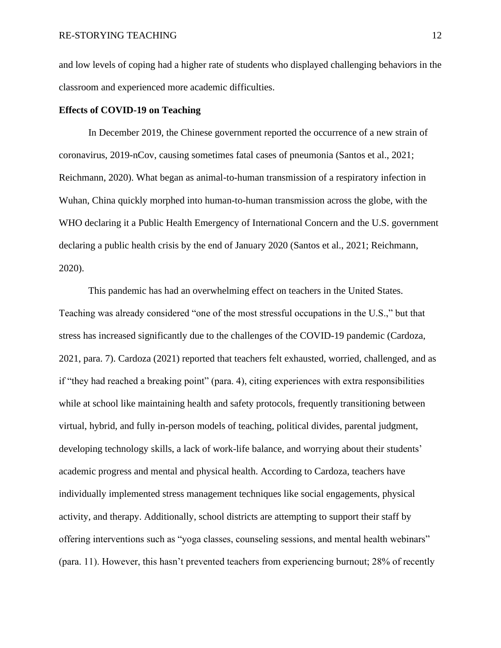and low levels of coping had a higher rate of students who displayed challenging behaviors in the classroom and experienced more academic difficulties.

#### **Effects of COVID-19 on Teaching**

 In December 2019, the Chinese government reported the occurrence of a new strain of coronavirus, 2019-nCov, causing sometimes fatal cases of pneumonia (Santos et al., 2021; Reichmann, 2020). What began as animal-to-human transmission of a respiratory infection in Wuhan, China quickly morphed into human-to-human transmission across the globe, with the WHO declaring it a Public Health Emergency of International Concern and the U.S. government declaring a public health crisis by the end of January 2020 (Santos et al., 2021; Reichmann, 2020).

 This pandemic has had an overwhelming effect on teachers in the United States. Teaching was already considered "one of the most stressful occupations in the U.S.," but that stress has increased significantly due to the challenges of the COVID-19 pandemic (Cardoza, 2021, para. 7). Cardoza (2021) reported that teachers felt exhausted, worried, challenged, and as if "they had reached a breaking point" (para. 4), citing experiences with extra responsibilities while at school like maintaining health and safety protocols, frequently transitioning between virtual, hybrid, and fully in-person models of teaching, political divides, parental judgment, developing technology skills, a lack of work-life balance, and worrying about their students' academic progress and mental and physical health. According to Cardoza, teachers have individually implemented stress management techniques like social engagements, physical activity, and therapy. Additionally, school districts are attempting to support their staff by offering interventions such as "yoga classes, counseling sessions, and mental health webinars" (para. 11). However, this hasn't prevented teachers from experiencing burnout; 28% of recently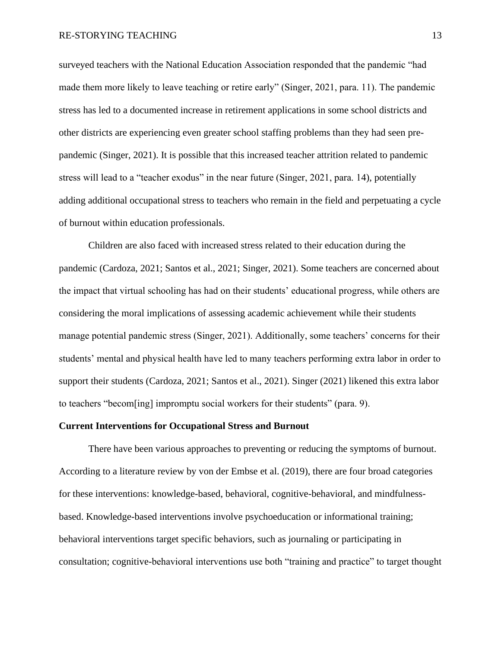surveyed teachers with the National Education Association responded that the pandemic "had made them more likely to leave teaching or retire early" (Singer, 2021, para. 11). The pandemic stress has led to a documented increase in retirement applications in some school districts and other districts are experiencing even greater school staffing problems than they had seen prepandemic (Singer, 2021). It is possible that this increased teacher attrition related to pandemic stress will lead to a "teacher exodus" in the near future (Singer, 2021, para. 14), potentially adding additional occupational stress to teachers who remain in the field and perpetuating a cycle of burnout within education professionals.

 Children are also faced with increased stress related to their education during the pandemic (Cardoza, 2021; Santos et al., 2021; Singer, 2021). Some teachers are concerned about the impact that virtual schooling has had on their students' educational progress, while others are considering the moral implications of assessing academic achievement while their students manage potential pandemic stress (Singer, 2021). Additionally, some teachers' concerns for their students' mental and physical health have led to many teachers performing extra labor in order to support their students (Cardoza, 2021; Santos et al., 2021). Singer (2021) likened this extra labor to teachers "becom[ing] impromptu social workers for their students" (para. 9).

#### **Current Interventions for Occupational Stress and Burnout**

There have been various approaches to preventing or reducing the symptoms of burnout. According to a literature review by von der Embse et al. (2019), there are four broad categories for these interventions: knowledge-based, behavioral, cognitive-behavioral, and mindfulnessbased. Knowledge-based interventions involve psychoeducation or informational training; behavioral interventions target specific behaviors, such as journaling or participating in consultation; cognitive-behavioral interventions use both "training and practice" to target thought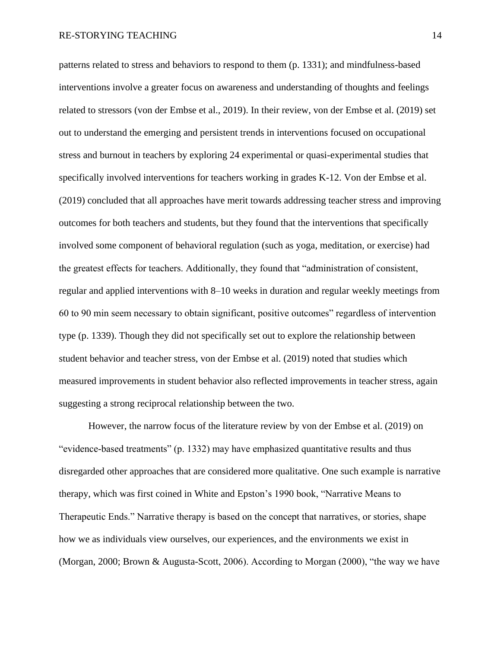patterns related to stress and behaviors to respond to them (p. 1331); and mindfulness-based interventions involve a greater focus on awareness and understanding of thoughts and feelings related to stressors (von der Embse et al., 2019). In their review, von der Embse et al. (2019) set out to understand the emerging and persistent trends in interventions focused on occupational stress and burnout in teachers by exploring 24 experimental or quasi-experimental studies that specifically involved interventions for teachers working in grades K-12. Von der Embse et al. (2019) concluded that all approaches have merit towards addressing teacher stress and improving outcomes for both teachers and students, but they found that the interventions that specifically involved some component of behavioral regulation (such as yoga, meditation, or exercise) had the greatest effects for teachers. Additionally, they found that "administration of consistent, regular and applied interventions with 8–10 weeks in duration and regular weekly meetings from 60 to 90 min seem necessary to obtain significant, positive outcomes" regardless of intervention type (p. 1339). Though they did not specifically set out to explore the relationship between student behavior and teacher stress, von der Embse et al. (2019) noted that studies which measured improvements in student behavior also reflected improvements in teacher stress, again suggesting a strong reciprocal relationship between the two.

However, the narrow focus of the literature review by von der Embse et al. (2019) on "evidence-based treatments" (p. 1332) may have emphasized quantitative results and thus disregarded other approaches that are considered more qualitative. One such example is narrative therapy, which was first coined in White and Epston's 1990 book, "Narrative Means to Therapeutic Ends." Narrative therapy is based on the concept that narratives, or stories, shape how we as individuals view ourselves, our experiences, and the environments we exist in (Morgan, 2000; Brown & Augusta-Scott, 2006). According to Morgan (2000), "the way we have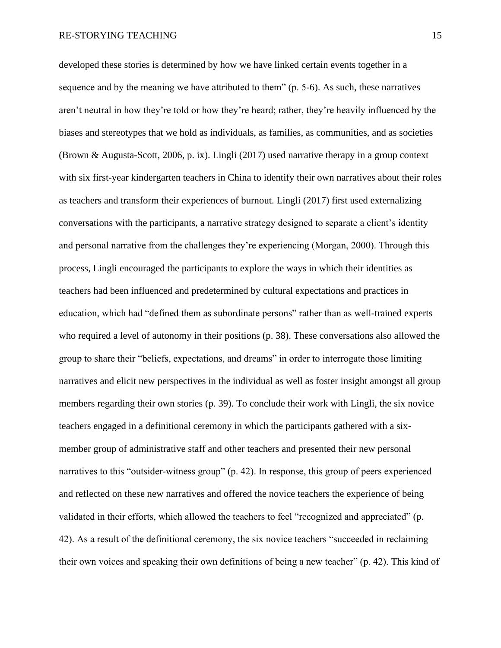developed these stories is determined by how we have linked certain events together in a sequence and by the meaning we have attributed to them" (p. 5-6). As such, these narratives aren't neutral in how they're told or how they're heard; rather, they're heavily influenced by the biases and stereotypes that we hold as individuals, as families, as communities, and as societies (Brown & Augusta-Scott, 2006, p. ix). Lingli (2017) used narrative therapy in a group context with six first-year kindergarten teachers in China to identify their own narratives about their roles as teachers and transform their experiences of burnout. Lingli (2017) first used externalizing conversations with the participants, a narrative strategy designed to separate a client's identity and personal narrative from the challenges they're experiencing (Morgan, 2000). Through this process, Lingli encouraged the participants to explore the ways in which their identities as teachers had been influenced and predetermined by cultural expectations and practices in education, which had "defined them as subordinate persons" rather than as well-trained experts who required a level of autonomy in their positions (p. 38). These conversations also allowed the group to share their "beliefs, expectations, and dreams" in order to interrogate those limiting narratives and elicit new perspectives in the individual as well as foster insight amongst all group members regarding their own stories (p. 39). To conclude their work with Lingli, the six novice teachers engaged in a definitional ceremony in which the participants gathered with a sixmember group of administrative staff and other teachers and presented their new personal narratives to this "outsider-witness group" (p. 42). In response, this group of peers experienced and reflected on these new narratives and offered the novice teachers the experience of being validated in their efforts, which allowed the teachers to feel "recognized and appreciated" (p. 42). As a result of the definitional ceremony, the six novice teachers "succeeded in reclaiming their own voices and speaking their own definitions of being a new teacher" (p. 42). This kind of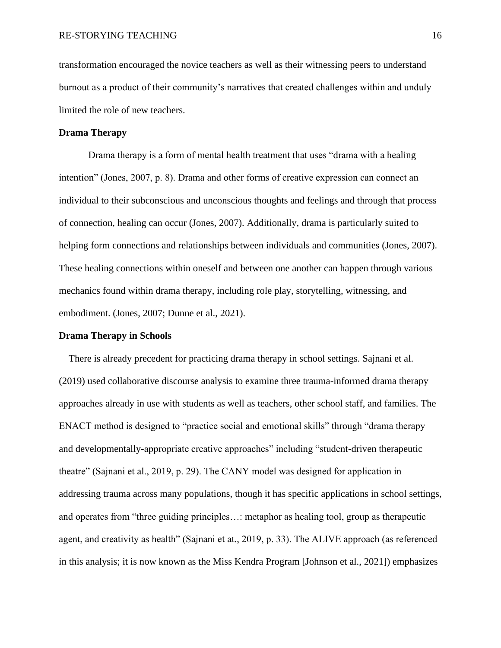transformation encouraged the novice teachers as well as their witnessing peers to understand burnout as a product of their community's narratives that created challenges within and unduly limited the role of new teachers.

#### **Drama Therapy**

Drama therapy is a form of mental health treatment that uses "drama with a healing intention" (Jones, 2007, p. 8). Drama and other forms of creative expression can connect an individual to their subconscious and unconscious thoughts and feelings and through that process of connection, healing can occur (Jones, 2007). Additionally, drama is particularly suited to helping form connections and relationships between individuals and communities (Jones, 2007). These healing connections within oneself and between one another can happen through various mechanics found within drama therapy, including role play, storytelling, witnessing, and embodiment. (Jones, 2007; Dunne et al., 2021).

#### **Drama Therapy in Schools**

 There is already precedent for practicing drama therapy in school settings. Sajnani et al. (2019) used collaborative discourse analysis to examine three trauma-informed drama therapy approaches already in use with students as well as teachers, other school staff, and families. The ENACT method is designed to "practice social and emotional skills" through "drama therapy and developmentally-appropriate creative approaches" including "student-driven therapeutic theatre" (Sajnani et al., 2019, p. 29). The CANY model was designed for application in addressing trauma across many populations, though it has specific applications in school settings, and operates from "three guiding principles…: metaphor as healing tool, group as therapeutic agent, and creativity as health" (Sajnani et at., 2019, p. 33). The ALIVE approach (as referenced in this analysis; it is now known as the Miss Kendra Program [Johnson et al., 2021]) emphasizes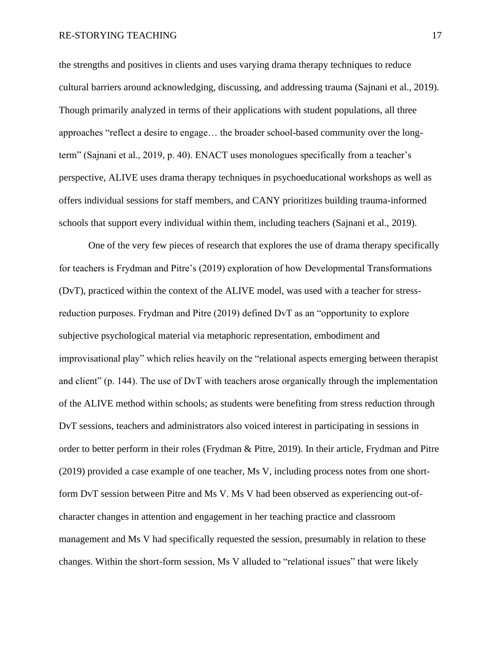#### RE-STORYING TEACHING 17

the strengths and positives in clients and uses varying drama therapy techniques to reduce cultural barriers around acknowledging, discussing, and addressing trauma (Sajnani et al., 2019). Though primarily analyzed in terms of their applications with student populations, all three approaches "reflect a desire to engage… the broader school-based community over the longterm" (Sajnani et al., 2019, p. 40). ENACT uses monologues specifically from a teacher's perspective, ALIVE uses drama therapy techniques in psychoeducational workshops as well as offers individual sessions for staff members, and CANY prioritizes building trauma-informed schools that support every individual within them, including teachers (Sajnani et al., 2019).

 One of the very few pieces of research that explores the use of drama therapy specifically for teachers is Frydman and Pitre's (2019) exploration of how Developmental Transformations (DvT), practiced within the context of the ALIVE model, was used with a teacher for stressreduction purposes. Frydman and Pitre (2019) defined DvT as an "opportunity to explore subjective psychological material via metaphoric representation, embodiment and improvisational play" which relies heavily on the "relational aspects emerging between therapist and client" (p. 144). The use of DvT with teachers arose organically through the implementation of the ALIVE method within schools; as students were benefiting from stress reduction through DvT sessions, teachers and administrators also voiced interest in participating in sessions in order to better perform in their roles (Frydman & Pitre, 2019). In their article, Frydman and Pitre (2019) provided a case example of one teacher, Ms V, including process notes from one shortform DvT session between Pitre and Ms V. Ms V had been observed as experiencing out-ofcharacter changes in attention and engagement in her teaching practice and classroom management and Ms V had specifically requested the session, presumably in relation to these changes. Within the short-form session, Ms V alluded to "relational issues" that were likely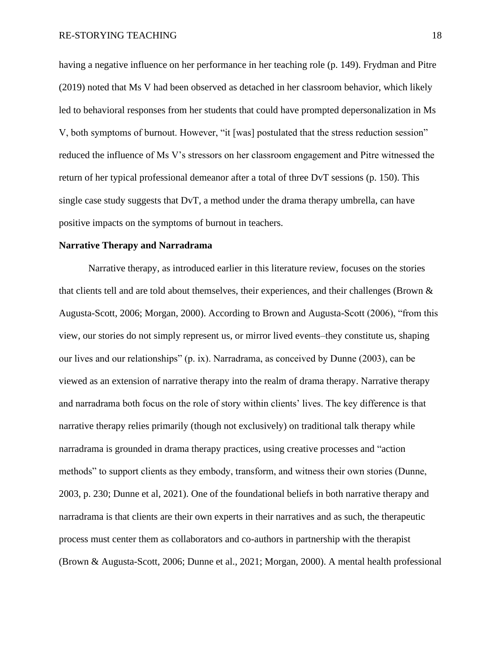having a negative influence on her performance in her teaching role (p. 149). Frydman and Pitre (2019) noted that Ms V had been observed as detached in her classroom behavior, which likely led to behavioral responses from her students that could have prompted depersonalization in Ms V, both symptoms of burnout. However, "it [was] postulated that the stress reduction session" reduced the influence of Ms V's stressors on her classroom engagement and Pitre witnessed the return of her typical professional demeanor after a total of three DvT sessions (p. 150). This single case study suggests that DvT, a method under the drama therapy umbrella, can have positive impacts on the symptoms of burnout in teachers.

#### **Narrative Therapy and Narradrama**

Narrative therapy, as introduced earlier in this literature review, focuses on the stories that clients tell and are told about themselves, their experiences, and their challenges (Brown & Augusta-Scott, 2006; Morgan, 2000). According to Brown and Augusta-Scott (2006), "from this view, our stories do not simply represent us, or mirror lived events–they constitute us, shaping our lives and our relationships" (p. ix). Narradrama, as conceived by Dunne (2003), can be viewed as an extension of narrative therapy into the realm of drama therapy. Narrative therapy and narradrama both focus on the role of story within clients' lives. The key difference is that narrative therapy relies primarily (though not exclusively) on traditional talk therapy while narradrama is grounded in drama therapy practices, using creative processes and "action methods" to support clients as they embody, transform, and witness their own stories (Dunne, 2003, p. 230; Dunne et al, 2021). One of the foundational beliefs in both narrative therapy and narradrama is that clients are their own experts in their narratives and as such, the therapeutic process must center them as collaborators and co-authors in partnership with the therapist (Brown & Augusta-Scott, 2006; Dunne et al., 2021; Morgan, 2000). A mental health professional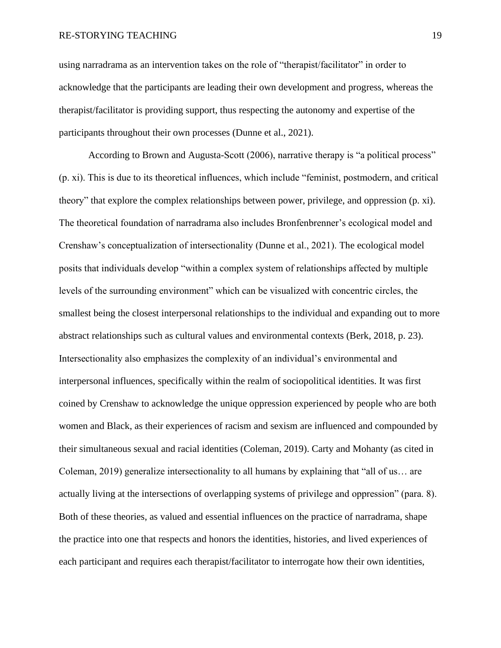using narradrama as an intervention takes on the role of "therapist/facilitator" in order to acknowledge that the participants are leading their own development and progress, whereas the therapist/facilitator is providing support, thus respecting the autonomy and expertise of the participants throughout their own processes (Dunne et al., 2021).

According to Brown and Augusta-Scott (2006), narrative therapy is "a political process" (p. xi). This is due to its theoretical influences, which include "feminist, postmodern, and critical theory" that explore the complex relationships between power, privilege, and oppression (p. xi). The theoretical foundation of narradrama also includes Bronfenbrenner's ecological model and Crenshaw's conceptualization of intersectionality (Dunne et al., 2021). The ecological model posits that individuals develop "within a complex system of relationships affected by multiple levels of the surrounding environment" which can be visualized with concentric circles, the smallest being the closest interpersonal relationships to the individual and expanding out to more abstract relationships such as cultural values and environmental contexts (Berk, 2018, p. 23). Intersectionality also emphasizes the complexity of an individual's environmental and interpersonal influences, specifically within the realm of sociopolitical identities. It was first coined by Crenshaw to acknowledge the unique oppression experienced by people who are both women and Black, as their experiences of racism and sexism are influenced and compounded by their simultaneous sexual and racial identities (Coleman, 2019). Carty and Mohanty (as cited in Coleman, 2019) generalize intersectionality to all humans by explaining that "all of us… are actually living at the intersections of overlapping systems of privilege and oppression" (para. 8). Both of these theories, as valued and essential influences on the practice of narradrama, shape the practice into one that respects and honors the identities, histories, and lived experiences of each participant and requires each therapist/facilitator to interrogate how their own identities,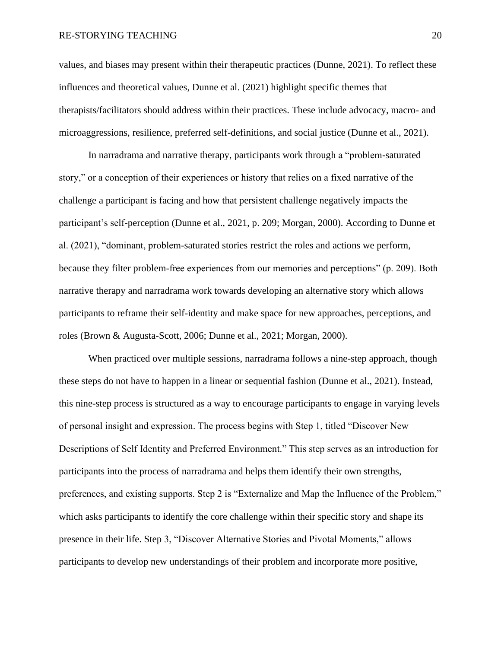#### RE-STORYING TEACHING 20

values, and biases may present within their therapeutic practices (Dunne, 2021). To reflect these influences and theoretical values, Dunne et al. (2021) highlight specific themes that therapists/facilitators should address within their practices. These include advocacy, macro- and microaggressions, resilience, preferred self-definitions, and social justice (Dunne et al., 2021).

In narradrama and narrative therapy, participants work through a "problem-saturated story," or a conception of their experiences or history that relies on a fixed narrative of the challenge a participant is facing and how that persistent challenge negatively impacts the participant's self-perception (Dunne et al., 2021, p. 209; Morgan, 2000). According to Dunne et al. (2021), "dominant, problem-saturated stories restrict the roles and actions we perform, because they filter problem-free experiences from our memories and perceptions" (p. 209). Both narrative therapy and narradrama work towards developing an alternative story which allows participants to reframe their self-identity and make space for new approaches, perceptions, and roles (Brown & Augusta-Scott, 2006; Dunne et al., 2021; Morgan, 2000).

When practiced over multiple sessions, narradrama follows a nine-step approach, though these steps do not have to happen in a linear or sequential fashion (Dunne et al., 2021). Instead, this nine-step process is structured as a way to encourage participants to engage in varying levels of personal insight and expression. The process begins with Step 1, titled "Discover New Descriptions of Self Identity and Preferred Environment." This step serves as an introduction for participants into the process of narradrama and helps them identify their own strengths, preferences, and existing supports. Step 2 is "Externalize and Map the Influence of the Problem," which asks participants to identify the core challenge within their specific story and shape its presence in their life. Step 3, "Discover Alternative Stories and Pivotal Moments," allows participants to develop new understandings of their problem and incorporate more positive,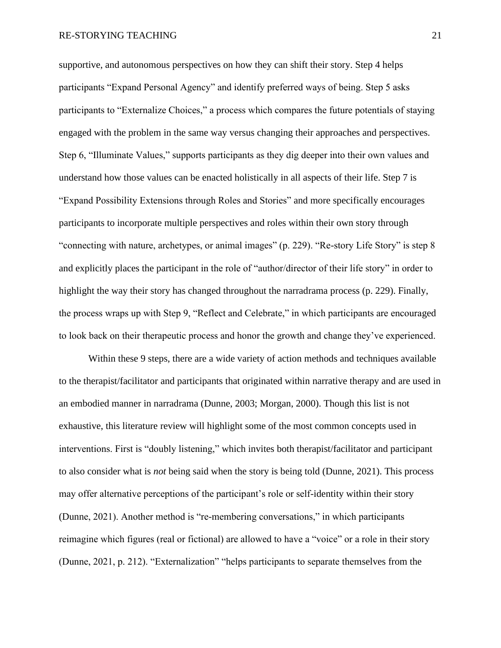supportive, and autonomous perspectives on how they can shift their story. Step 4 helps participants "Expand Personal Agency" and identify preferred ways of being. Step 5 asks participants to "Externalize Choices," a process which compares the future potentials of staying engaged with the problem in the same way versus changing their approaches and perspectives. Step 6, "Illuminate Values," supports participants as they dig deeper into their own values and understand how those values can be enacted holistically in all aspects of their life. Step 7 is "Expand Possibility Extensions through Roles and Stories" and more specifically encourages participants to incorporate multiple perspectives and roles within their own story through "connecting with nature, archetypes, or animal images" (p. 229). "Re-story Life Story" is step 8 and explicitly places the participant in the role of "author/director of their life story" in order to highlight the way their story has changed throughout the narradrama process (p. 229). Finally, the process wraps up with Step 9, "Reflect and Celebrate," in which participants are encouraged to look back on their therapeutic process and honor the growth and change they've experienced.

Within these 9 steps, there are a wide variety of action methods and techniques available to the therapist/facilitator and participants that originated within narrative therapy and are used in an embodied manner in narradrama (Dunne, 2003; Morgan, 2000). Though this list is not exhaustive, this literature review will highlight some of the most common concepts used in interventions. First is "doubly listening," which invites both therapist/facilitator and participant to also consider what is *not* being said when the story is being told (Dunne, 2021). This process may offer alternative perceptions of the participant's role or self-identity within their story (Dunne, 2021). Another method is "re-membering conversations," in which participants reimagine which figures (real or fictional) are allowed to have a "voice" or a role in their story (Dunne, 2021, p. 212). "Externalization" "helps participants to separate themselves from the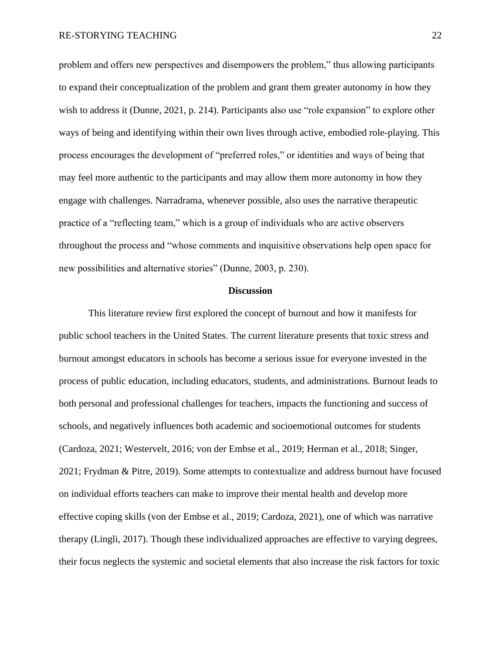problem and offers new perspectives and disempowers the problem," thus allowing participants to expand their conceptualization of the problem and grant them greater autonomy in how they wish to address it (Dunne, 2021, p. 214). Participants also use "role expansion" to explore other ways of being and identifying within their own lives through active, embodied role-playing. This process encourages the development of "preferred roles," or identities and ways of being that may feel more authentic to the participants and may allow them more autonomy in how they engage with challenges. Narradrama, whenever possible, also uses the narrative therapeutic practice of a "reflecting team," which is a group of individuals who are active observers throughout the process and "whose comments and inquisitive observations help open space for new possibilities and alternative stories" (Dunne, 2003, p. 230).

#### **Discussion**

This literature review first explored the concept of burnout and how it manifests for public school teachers in the United States. The current literature presents that toxic stress and burnout amongst educators in schools has become a serious issue for everyone invested in the process of public education, including educators, students, and administrations. Burnout leads to both personal and professional challenges for teachers, impacts the functioning and success of schools, and negatively influences both academic and socioemotional outcomes for students (Cardoza, 2021; Westervelt, 2016; von der Embse et al., 2019; Herman et al., 2018; Singer, 2021; Frydman & Pitre, 2019). Some attempts to contextualize and address burnout have focused on individual efforts teachers can make to improve their mental health and develop more effective coping skills (von der Embse et al., 2019; Cardoza, 2021), one of which was narrative therapy (Lingli, 2017). Though these individualized approaches are effective to varying degrees, their focus neglects the systemic and societal elements that also increase the risk factors for toxic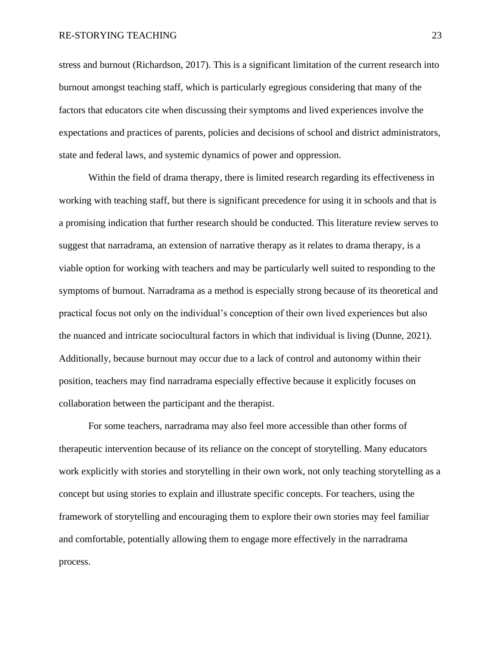stress and burnout (Richardson, 2017). This is a significant limitation of the current research into burnout amongst teaching staff, which is particularly egregious considering that many of the factors that educators cite when discussing their symptoms and lived experiences involve the expectations and practices of parents, policies and decisions of school and district administrators, state and federal laws, and systemic dynamics of power and oppression.

Within the field of drama therapy, there is limited research regarding its effectiveness in working with teaching staff, but there is significant precedence for using it in schools and that is a promising indication that further research should be conducted. This literature review serves to suggest that narradrama, an extension of narrative therapy as it relates to drama therapy, is a viable option for working with teachers and may be particularly well suited to responding to the symptoms of burnout. Narradrama as a method is especially strong because of its theoretical and practical focus not only on the individual's conception of their own lived experiences but also the nuanced and intricate sociocultural factors in which that individual is living (Dunne, 2021). Additionally, because burnout may occur due to a lack of control and autonomy within their position, teachers may find narradrama especially effective because it explicitly focuses on collaboration between the participant and the therapist.

For some teachers, narradrama may also feel more accessible than other forms of therapeutic intervention because of its reliance on the concept of storytelling. Many educators work explicitly with stories and storytelling in their own work, not only teaching storytelling as a concept but using stories to explain and illustrate specific concepts. For teachers, using the framework of storytelling and encouraging them to explore their own stories may feel familiar and comfortable, potentially allowing them to engage more effectively in the narradrama process.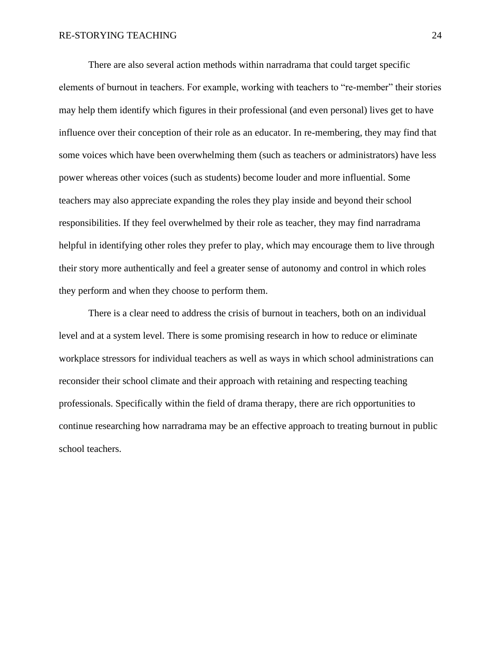There are also several action methods within narradrama that could target specific elements of burnout in teachers. For example, working with teachers to "re-member" their stories may help them identify which figures in their professional (and even personal) lives get to have influence over their conception of their role as an educator. In re-membering, they may find that some voices which have been overwhelming them (such as teachers or administrators) have less power whereas other voices (such as students) become louder and more influential. Some teachers may also appreciate expanding the roles they play inside and beyond their school responsibilities. If they feel overwhelmed by their role as teacher, they may find narradrama helpful in identifying other roles they prefer to play, which may encourage them to live through their story more authentically and feel a greater sense of autonomy and control in which roles they perform and when they choose to perform them.

There is a clear need to address the crisis of burnout in teachers, both on an individual level and at a system level. There is some promising research in how to reduce or eliminate workplace stressors for individual teachers as well as ways in which school administrations can reconsider their school climate and their approach with retaining and respecting teaching professionals. Specifically within the field of drama therapy, there are rich opportunities to continue researching how narradrama may be an effective approach to treating burnout in public school teachers.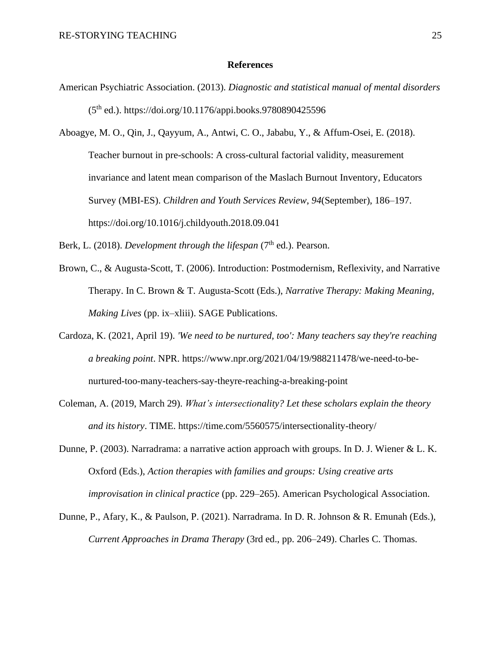#### **References**

American Psychiatric Association. (2013). *Diagnostic and statistical manual of mental disorders*  (5th ed.). https://doi.org/10.1176/appi.books.9780890425596

Aboagye, M. O., Qin, J., Qayyum, A., Antwi, C. O., Jababu, Y., & Affum-Osei, E. (2018). Teacher burnout in pre-schools: A cross-cultural factorial validity, measurement invariance and latent mean comparison of the Maslach Burnout Inventory, Educators Survey (MBI-ES). *Children and Youth Services Review*, *94*(September), 186–197. https://doi.org/10.1016/j.childyouth.2018.09.041

Berk, L. (2018). *Development through the lifespan* (7<sup>th</sup> ed.). Pearson.

- Brown, C., & Augusta-Scott, T. (2006). Introduction: Postmodernism, Reflexivity, and Narrative Therapy. In C. Brown & T. Augusta-Scott (Eds.), *Narrative Therapy: Making Meaning, Making Lives* (pp. ix–xliii). SAGE Publications.
- Cardoza, K. (2021, April 19). *'We need to be nurtured, too': Many teachers say they're reaching a breaking point*. NPR. https://www.npr.org/2021/04/19/988211478/we-need-to-benurtured-too-many-teachers-say-theyre-reaching-a-breaking-point
- Coleman, A. (2019, March 29). *What's intersectionality? Let these scholars explain the theory and its history*. TIME. https://time.com/5560575/intersectionality-theory/
- Dunne, P. (2003). Narradrama: a narrative action approach with groups. In D. J. Wiener & L. K. Oxford (Eds.), *Action therapies with families and groups: Using creative arts improvisation in clinical practice* (pp. 229–265). American Psychological Association.
- Dunne, P., Afary, K., & Paulson, P. (2021). Narradrama. In D. R. Johnson & R. Emunah (Eds.), *Current Approaches in Drama Therapy* (3rd ed., pp. 206–249). Charles C. Thomas.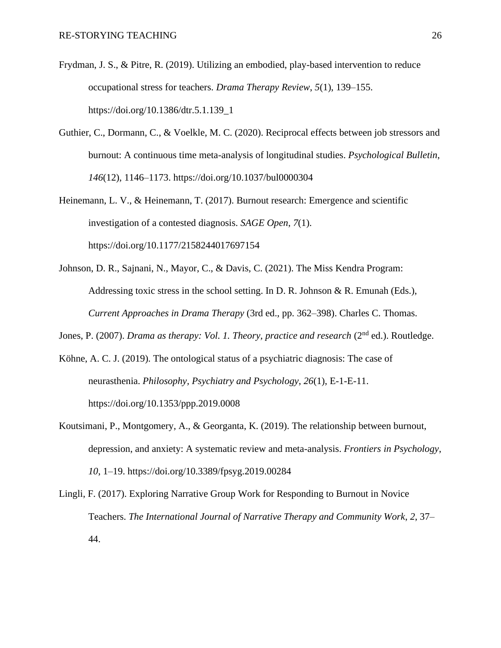- Frydman, J. S., & Pitre, R. (2019). Utilizing an embodied, play-based intervention to reduce occupational stress for teachers. *Drama Therapy Review*, *5*(1), 139–155. https://doi.org/10.1386/dtr.5.1.139\_1
- Guthier, C., Dormann, C., & Voelkle, M. C. (2020). Reciprocal effects between job stressors and burnout: A continuous time meta-analysis of longitudinal studies. *Psychological Bulletin*, *146*(12), 1146–1173. https://doi.org/10.1037/bul0000304
- Heinemann, L. V., & Heinemann, T. (2017). Burnout research: Emergence and scientific investigation of a contested diagnosis. *SAGE Open*, *7*(1). https://doi.org/10.1177/2158244017697154
- Johnson, D. R., Sajnani, N., Mayor, C., & Davis, C. (2021). The Miss Kendra Program: Addressing toxic stress in the school setting. In D. R. Johnson & R. Emunah (Eds.), *Current Approaches in Drama Therapy* (3rd ed., pp. 362–398). Charles C. Thomas.

Jones, P. (2007). *Drama as therapy: Vol. 1. Theory, practice and research* (2<sup>nd</sup> ed.). Routledge.

- Köhne, A. C. J. (2019). The ontological status of a psychiatric diagnosis: The case of neurasthenia. *Philosophy, Psychiatry and Psychology*, *26*(1), E-1-E-11. https://doi.org/10.1353/ppp.2019.0008
- Koutsimani, P., Montgomery, A., & Georganta, K. (2019). The relationship between burnout, depression, and anxiety: A systematic review and meta-analysis. *Frontiers in Psychology*, *10*, 1–19. https://doi.org/10.3389/fpsyg.2019.00284
- Lingli, F. (2017). Exploring Narrative Group Work for Responding to Burnout in Novice Teachers. *The International Journal of Narrative Therapy and Community Work*, *2*, 37– 44.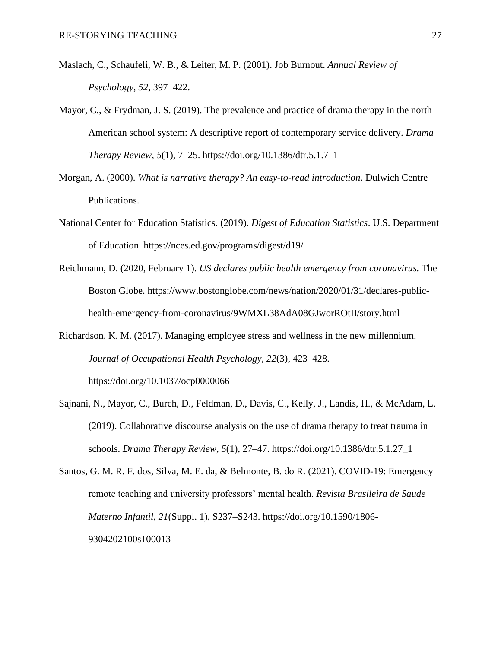- Maslach, C., Schaufeli, W. B., & Leiter, M. P. (2001). Job Burnout. *Annual Review of Psychology*, *52*, 397–422.
- Mayor, C., & Frydman, J. S. (2019). The prevalence and practice of drama therapy in the north American school system: A descriptive report of contemporary service delivery. *Drama Therapy Review*, *5*(1), 7–25. https://doi.org/10.1386/dtr.5.1.7\_1
- Morgan, A. (2000). *What is narrative therapy? An easy-to-read introduction*. Dulwich Centre Publications.
- National Center for Education Statistics. (2019). *Digest of Education Statistics*. U.S. Department of Education. https://nces.ed.gov/programs/digest/d19/
- Reichmann, D. (2020, February 1). *US declares public health emergency from coronavirus.* The Boston Globe. https://www.bostonglobe.com/news/nation/2020/01/31/declares-publichealth-emergency-from-coronavirus/9WMXL38AdA08GJworROtII/story.html
- Richardson, K. M. (2017). Managing employee stress and wellness in the new millennium. *Journal of Occupational Health Psychology*, *22*(3), 423–428.

https://doi.org/10.1037/ocp0000066

- Sajnani, N., Mayor, C., Burch, D., Feldman, D., Davis, C., Kelly, J., Landis, H., & McAdam, L. (2019). Collaborative discourse analysis on the use of drama therapy to treat trauma in schools. *Drama Therapy Review*, *5*(1), 27–47. https://doi.org/10.1386/dtr.5.1.27\_1
- Santos, G. M. R. F. dos, Silva, M. E. da, & Belmonte, B. do R. (2021). COVID-19: Emergency remote teaching and university professors' mental health. *Revista Brasileira de Saude Materno Infantil*, *21*(Suppl. 1), S237–S243. https://doi.org/10.1590/1806- 9304202100s100013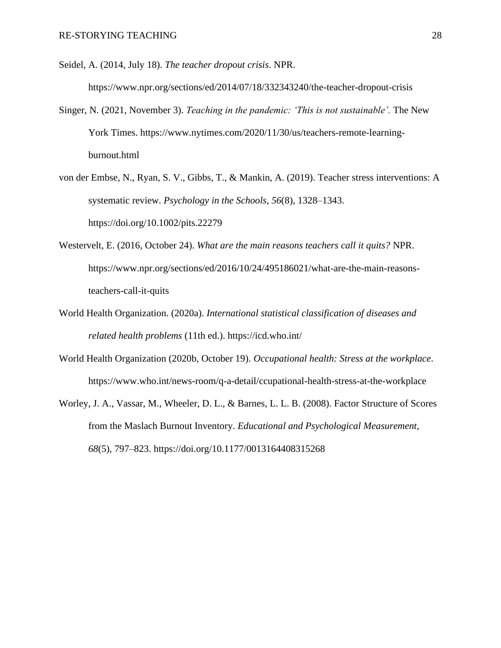Seidel, A. (2014, July 18). *The teacher dropout crisis*. NPR.

https://www.npr.org/sections/ed/2014/07/18/332343240/the-teacher-dropout-crisis

- Singer, N. (2021, November 3). *Teaching in the pandemic: 'This is not sustainable'.* The New York Times. https://www.nytimes.com/2020/11/30/us/teachers-remote-learningburnout.html
- von der Embse, N., Ryan, S. V., Gibbs, T., & Mankin, A. (2019). Teacher stress interventions: A systematic review. *Psychology in the Schools*, *56*(8), 1328–1343. https://doi.org/10.1002/pits.22279
- Westervelt, E. (2016, October 24). *What are the main reasons teachers call it quits?* NPR. https://www.npr.org/sections/ed/2016/10/24/495186021/what-are-the-main-reasonsteachers-call-it-quits
- World Health Organization. (2020a). *International statistical classification of diseases and related health problems* (11th ed.). https://icd.who.int/
- World Health Organization (2020b, October 19). *Occupational health: Stress at the workplace*. https://www.who.int/news-room/q-a-detail/ccupational-health-stress-at-the-workplace
- Worley, J. A., Vassar, M., Wheeler, D. L., & Barnes, L. L. B. (2008). Factor Structure of Scores from the Maslach Burnout Inventory. *Educational and Psychological Measurement*, *68*(5), 797–823. https://doi.org/10.1177/0013164408315268